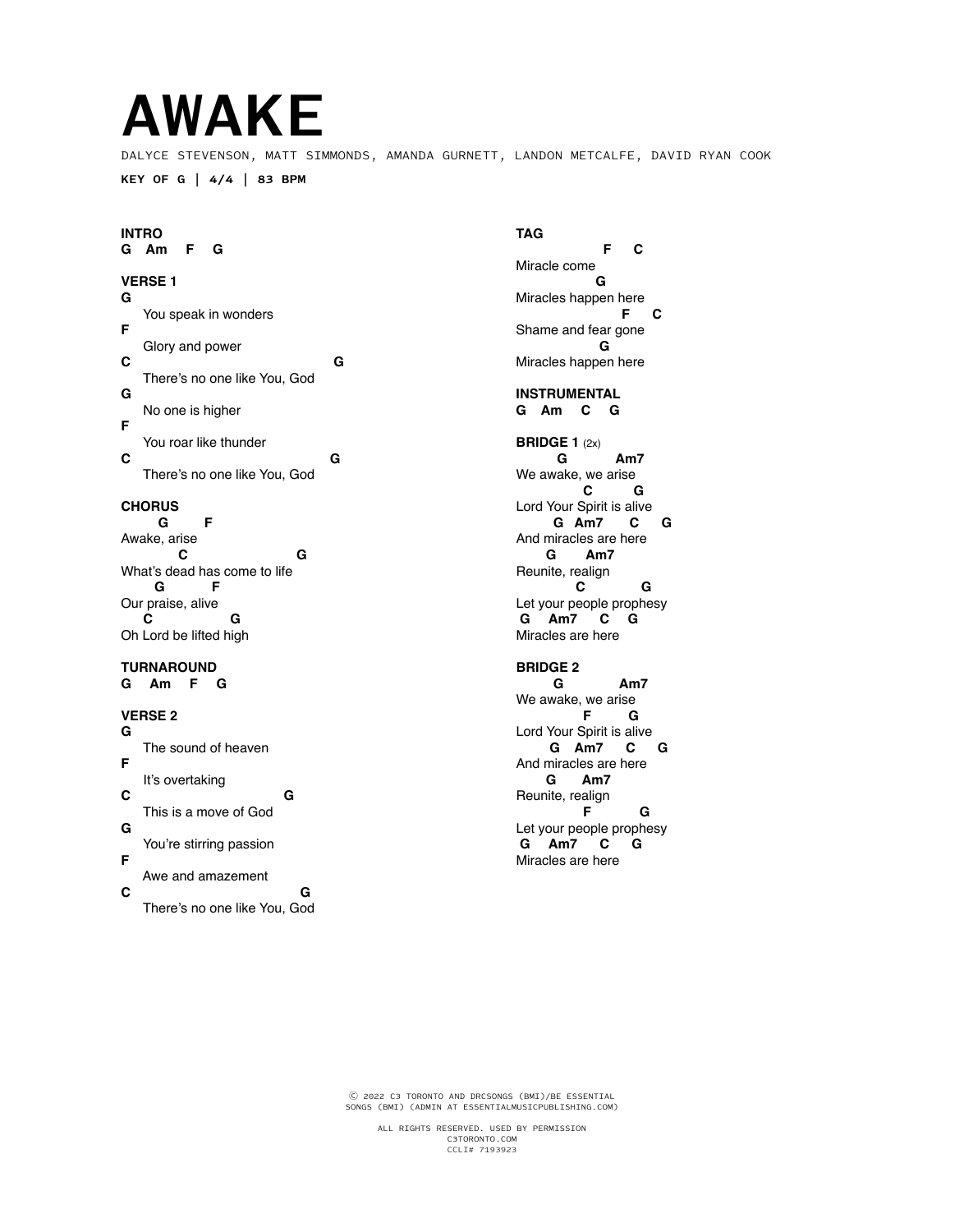# **AWAKE**

DALYCE STEVENSON, MATT SIMMONDS, AMANDA GURNETT, LANDON METCALFE, DAVID RYAN COOK

**KEY OF G | 4/4 | 83 BPM**

### **INTRO**

**G Am F G**

#### **VERSE 1**

**G** You speak in wonders **F** Glory and power<br>C **C G** There's no one like You, God **G** No one is higher **F** You roar like thunder<br>C **C G** There's no one like You, God

#### **CHORUS**

 **G F** Awake, arise **C** G What's dead has come to life<br> **G G F** Our praise, alive  **C G** Oh Lord be lifted high

## **TURNAROUND**

**G Am F G**

#### **VERSE 2**

**G** The sound of heaven **F** It's overtaking **C G** This is a move of God **G** You're stirring passion **F** Awe and amazement<br>C **C G** There's no one like You, God

# **TAG**

 **F C** Miracle come  **G** Miracles happen here  **F C** Shame and fear gone  **G** Miracles happen here

**INSTRUMENTAL G Am C G**

#### **BRIDGE 1** (2x)  **G Am7** We awake, we arise<br>**C G C G** Lord Your Spirit is alive<br>**G** Am7 **C G Am7 C G**  And miracles are here  **G Am7** Reunite, realign<br>C  **C G** Let your people prophesy  **G Am7 C G**  Miracles are here

**BRIDGE 2**

 **G Am7** We awake, we arise  **F G** Lord Your Spirit is alive  **G Am7 C G**  And miracles are here<br> **G** Am7  **G Am7** Reunite, realign  **F G** Let your people prophesy  **G Am7 C G** Miracles are here

Ⓒ 2022 C3 TORONTO AND DRCSONGS (BMI)/BE ESSENTIAL SONGS (BMI) (ADMIN AT ESSENTIALMUSICPUBLISHING.COM)

> ALL RIGHTS RESERVED. USED BY PERMISSION C3TORONTO.COM CCLI# 7193923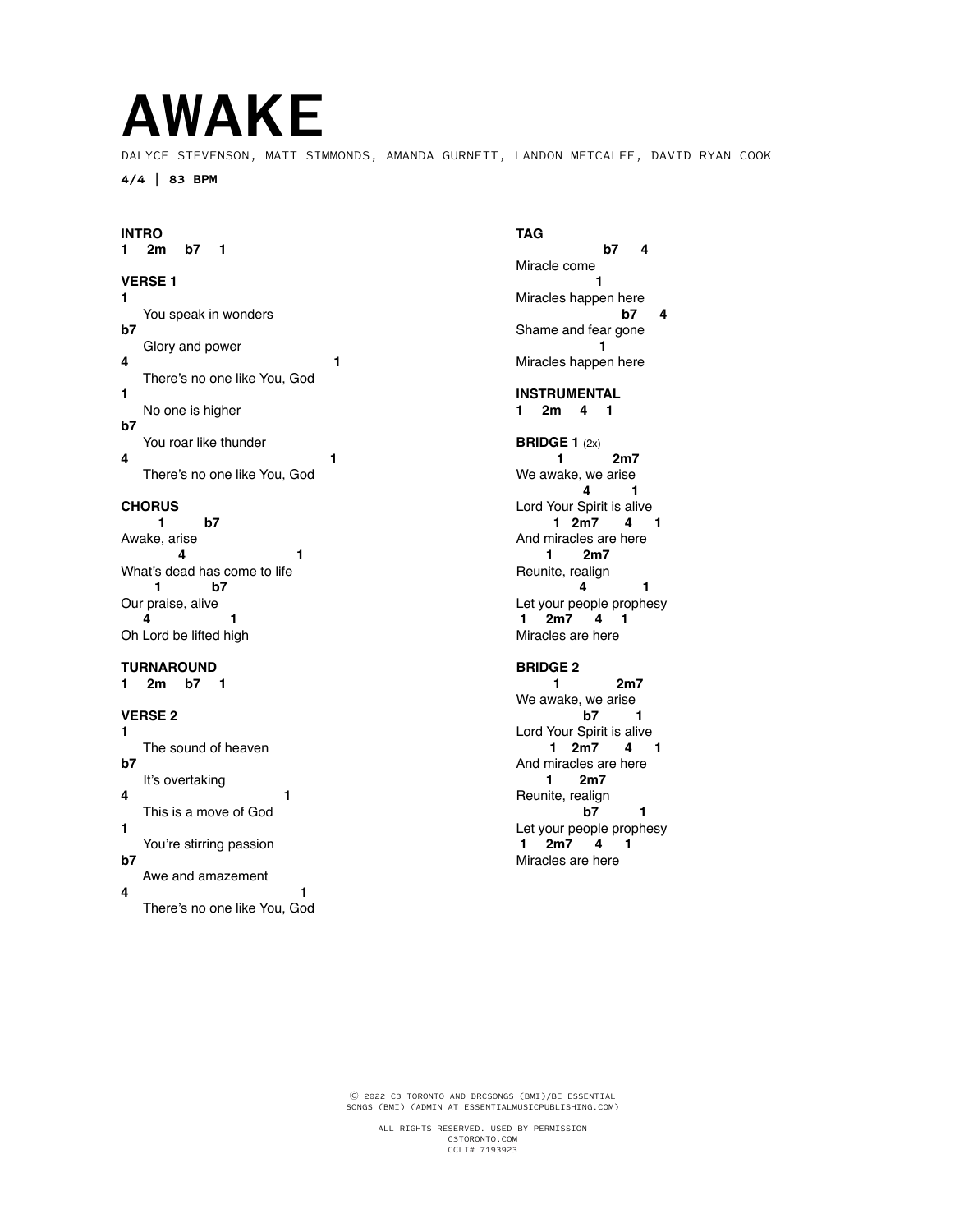# **AWAKE**

DALYCE STEVENSON, MATT SIMMONDS, AMANDA GURNETT, LANDON METCALFE, DAVID RYAN COOK

**4/4 | 83 BPM**

#### **INTRO**

**1 2m b7 1**

#### **VERSE 1**

**1** You speak in wonders **b7** Glory and power **4 1** There's no one like You, God **1** No one is higher **b7** You roar like thunder<br>4 **4 1** There's no one like You, God

#### **CHORUS**

 **1 b7** Awake, arise **4** 1 What's dead has come to life<br> **b7 b7** Our praise, alive  **4 1** Oh Lord be lifted high

#### **TURNAROUND**

**1 2m b7 1**

#### **VERSE 2**

**1** The sound of heaven **b7** It's overtaking **4 1** This is a move of God **1** You're stirring passion **b7** Awe and amazement<br>4 **4 1**

There's no one like You, God

#### **TAG**

 **b7 4** Miracle come  **1** Miracles happen here  **b7 4** Shame and fear gone **1** Miracles happen here

**INSTRUMENTAL 1 2m 4 1**

#### **BRIDGE 1** (2x)  **1 2m7** We awake, we arise<br>4  **4 1** Lord Your Spirit is alive<br>1 2m7 4  **1 2m7 4 1**  And miracles are here  **1 2m7** Reunite, realign<br>4  **4 1** Let your people prophesy  **1 2m7 4 1**  Miracles are here

#### **BRIDGE 2**

 **1 2m7** We awake, we arise  **b7 1** Lord Your Spirit is alive<br>1 2m7 4 1 **1** 2m7 And miracles are here<br>1 2m7  **1 2m7** Reunite, realign  **b7 1** Let your people prophesy  **1 2m7 4 1** Miracles are here

Ⓒ 2022 C3 TORONTO AND DRCSONGS (BMI)/BE ESSENTIAL SONGS (BMI) (ADMIN AT ESSENTIALMUSICPUBLISHING.COM)

> ALL RIGHTS RESERVED. USED BY PERMISSION C3TORONTO.COM CCLI# 7193923